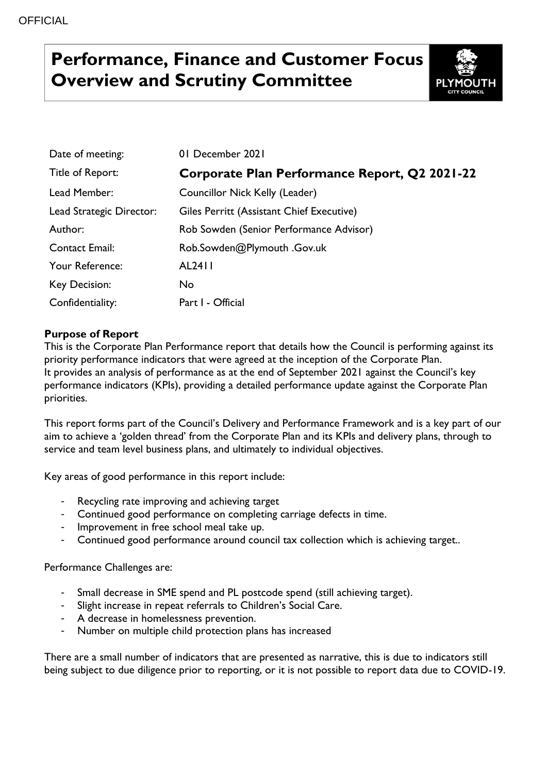# **Performance, Finance and Customer Focus Overview and Scrutiny Committee**



| Date of meeting:         | 01 December 2021                              |
|--------------------------|-----------------------------------------------|
| Title of Report:         | Corporate Plan Performance Report, Q2 2021-22 |
| Lead Member:             | Councillor Nick Kelly (Leader)                |
| Lead Strategic Director: | Giles Perritt (Assistant Chief Executive)     |
| Author:                  | Rob Sowden (Senior Performance Advisor)       |
| <b>Contact Email:</b>    | Rob.Sowden@Plymouth .Gov.uk                   |
| Your Reference:          | AL2411                                        |
| Key Decision:            | No.                                           |
| Confidentiality:         | Part I - Official                             |

## **Purpose of Report**

This is the Corporate Plan Performance report that details how the Council is performing against its priority performance indicators that were agreed at the inception of the Corporate Plan. It provides an analysis of performance as at the end of September 2021 against the Council's key performance indicators (KPIs), providing a detailed performance update against the Corporate Plan priorities.

This report forms part of the Council's Delivery and Performance Framework and is a key part of our aim to achieve a 'golden thread' from the Corporate Plan and its KPIs and delivery plans, through to service and team level business plans, and ultimately to individual objectives.

Key areas of good performance in this report include:

- Recycling rate improving and achieving target
- Continued good performance on completing carriage defects in time.
- Improvement in free school meal take up.
- Continued good performance around council tax collection which is achieving target..

Performance Challenges are:

- Small decrease in SME spend and PL postcode spend (still achieving target).
- Slight increase in repeat referrals to Children's Social Care.
- A decrease in homelessness prevention.
- Number on multiple child protection plans has increased

There are a small number of indicators that are presented as narrative, this is due to indicators still being subject to due diligence prior to reporting, or it is not possible to report data due to COVID-19.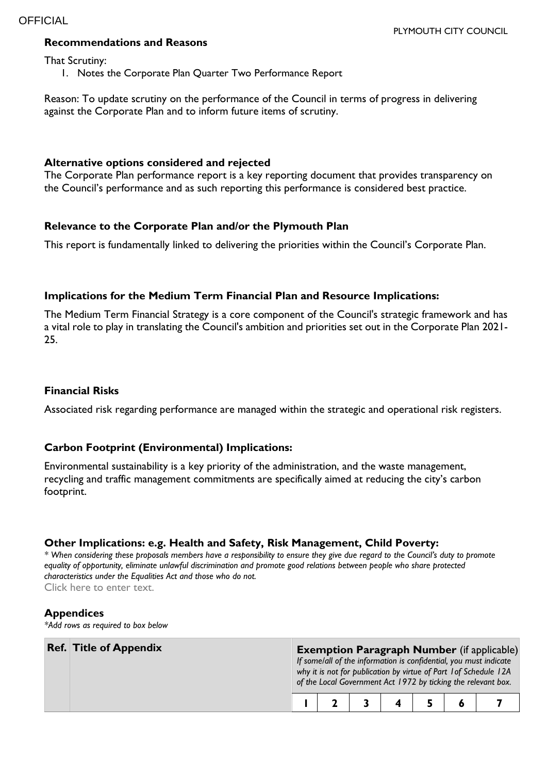### **Recommendations and Reasons**

That Scrutiny:

1. Notes the Corporate Plan Quarter Two Performance Report

Reason: To update scrutiny on the performance of the Council in terms of progress in delivering against the Corporate Plan and to inform future items of scrutiny.

### **Alternative options considered and rejected**

The Corporate Plan performance report is a key reporting document that provides transparency on the Council's performance and as such reporting this performance is considered best practice.

#### **Relevance to the Corporate Plan and/or the Plymouth Plan**

This report is fundamentally linked to delivering the priorities within the Council's Corporate Plan.

#### **Implications for the Medium Term Financial Plan and Resource Implications:**

The Medium Term Financial Strategy is a core component of the Council's strategic framework and has a vital role to play in translating the Council's ambition and priorities set out in the Corporate Plan 2021- 25.

## **Financial Risks**

Associated risk regarding performance are managed within the strategic and operational risk registers.

#### **Carbon Footprint (Environmental) Implications:**

Environmental sustainability is a key priority of the administration, and the waste management, recycling and traffic management commitments are specifically aimed at reducing the city's carbon footprint.

#### **Other Implications: e.g. Health and Safety, Risk Management, Child Poverty:**

*\* When considering these proposals members have a responsibility to ensure they give due regard to the Council's duty to promote equality of opportunity, eliminate unlawful discrimination and promote good relations between people who share protected characteristics under the Equalities Act and those who do not.* Click here to enter text.

#### **Appendices**

*\*Add rows as required to box below*

| <b>Ref. Title of Appendix</b> |  |  |  | <b>Exemption Paragraph Number</b> (if applicable)<br>If some/all of the information is confidential, you must indicate<br>why it is not for publication by virtue of Part 1 of Schedule 12A<br>of the Local Government Act 1972 by ticking the relevant box. |
|-------------------------------|--|--|--|--------------------------------------------------------------------------------------------------------------------------------------------------------------------------------------------------------------------------------------------------------------|
|                               |  |  |  |                                                                                                                                                                                                                                                              |